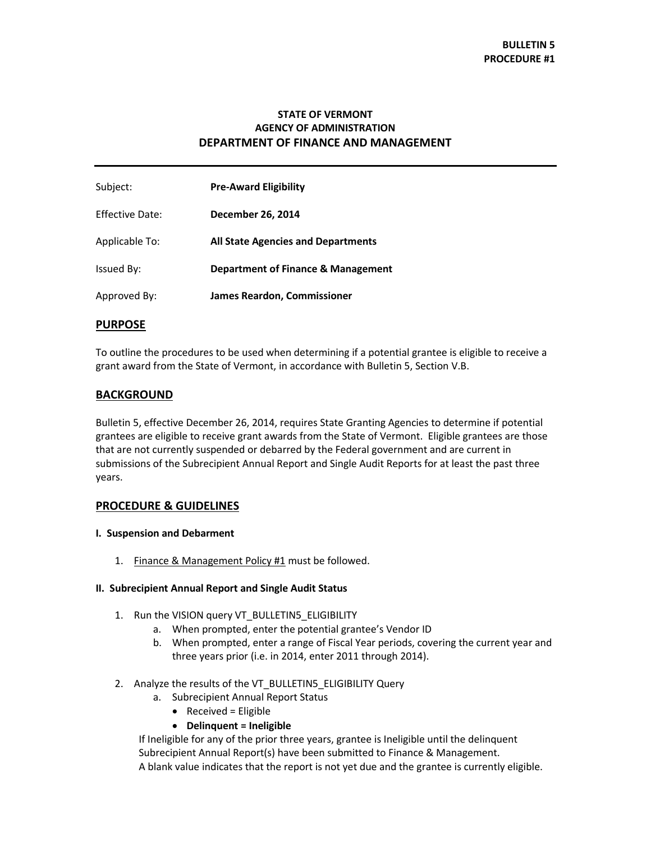# **STATE OF VERMONT AGENCY OF ADMINISTRATION DEPARTMENT OF FINANCE AND MANAGEMENT**

| Subject:        | <b>Pre-Award Eligibility</b>              |
|-----------------|-------------------------------------------|
| Effective Date: | December 26, 2014                         |
| Applicable To:  | <b>All State Agencies and Departments</b> |
| Issued By:      | Department of Finance & Management        |
| Approved By:    | <b>James Reardon, Commissioner</b>        |

### **PURPOSE**

To outline the procedures to be used when determining if a potential grantee is eligible to receive a grant award from the State of Vermont, in accordance with Bulletin 5, Section V.B.

## **BACKGROUND**

Bulletin 5, effective December 26, 2014, requires State Granting Agencies to determine if potential grantees are eligible to receive grant awards from the State of Vermont. Eligible grantees are those that are not currently suspended or debarred by the Federal government and are current in submissions of the Subrecipient Annual Report and Single Audit Reports for at least the past three years.

## **PROCEDURE & GUIDELINES**

#### **I. Suspension and Debarment**

1. Finance & Management Policy #1 must be followed.

#### **II. Subrecipient Annual Report and Single Audit Status**

- 1. Run the VISION query VT\_BULLETIN5\_ELIGIBILITY
	- a. When prompted, enter the potential grantee's Vendor ID
	- b. When prompted, enter a range of Fiscal Year periods, covering the current year and three years prior (i.e. in 2014, enter 2011 through 2014).
- 2. Analyze the results of the VT\_BULLETIN5\_ELIGIBILITY Query
	- a. Subrecipient Annual Report Status
		- $\bullet$  Received = Eligible
		- **Delinquent = Ineligible**

If Ineligible for any of the prior three years, grantee is Ineligible until the delinquent Subrecipient Annual Report(s) have been submitted to Finance & Management. A blank value indicates that the report is not yet due and the grantee is currently eligible.